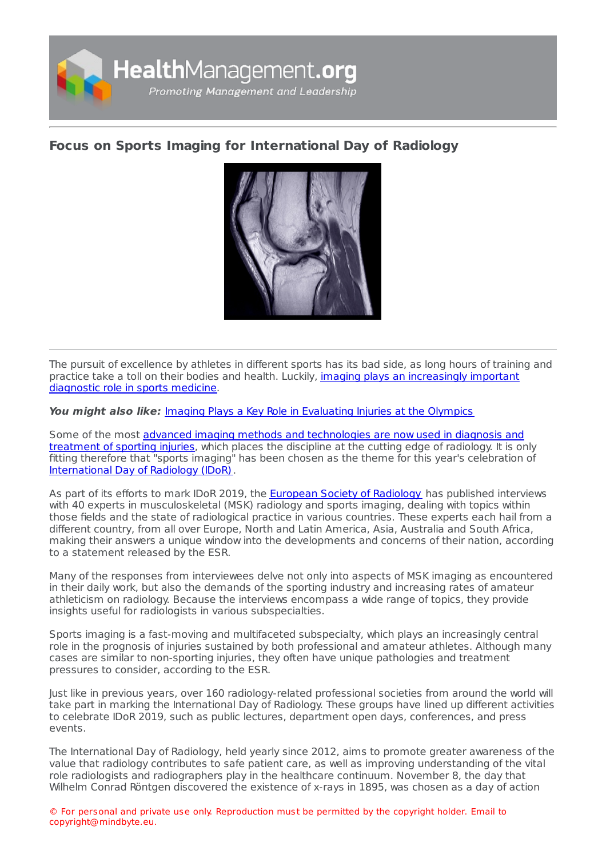

## **Focus on Sports Imaging for [International](https://healthmanagement.org/s/focus-on-sports-imaging-for-international-day-of-radiology) Day of Radiology**



The pursuit of excellence by athletes in different sports has its bad side, as long hours of training and practice take a toll on their bodies and health. Luckily, *imaging plays an [increasingly](https://healthmanagement.org/c/healthmanagement/issuearticle/diagnostic-imaging-in-sports-medicine) important* diagnostic role in sports medicine.

**You might also like:** Imaging Plays a Key Role in [Evaluating](https://healthmanagement.org/c/imaging/news/imaging-plays-key-role-in-evaluating-injuries-at-olympics) Injuries at the Olympics

Some of the most advanced imaging methods and [technologies](https://healthmanagement.org/c/healthmanagement/issuearticle/imaging-developments-in-sports-medicine) are now used in diagnosis and treatment of sporting injuries, which places the discipline at the cutting edge of radiology. It is only fitting therefore that "sports imaging" has been chosen as the theme for this year's celebration of [International](https://www.internationaldayofradiology.com/) Day of Radiology (IDoR).

As part of its efforts to mark IDoR 2019, the European Society of [Radiology](https://www.myesr.org/) has published interviews with 40 experts in musculoskeletal (MSK) radiology and sports imaging, dealing with topics within those fields and the state of radiological practice in various countries. These experts each hail from a different country, from all over Europe, North and Latin America, Asia, Australia and South Africa, making their answers a unique window into the developments and concerns of their nation, according to a statement released by the ESR.

Many of the responses from interviewees delve not only into aspects of MSK imaging as encountered in their daily work, but also the demands of the sporting industry and increasing rates of amateur athleticism on radiology. Because the interviews encompass a wide range of topics, they provide insights useful for radiologists in various subspecialties.

Sports imaging is a fast-moving and multifaceted subspecialty, which plays an increasingly central role in the prognosis of injuries sustained by both professional and amateur athletes. Although many cases are similar to non-sporting injuries, they often have unique pathologies and treatment pressures to consider, according to the ESR.

Just like in previous years, over 160 radiology-related professional societies from around the world will take part in marking the International Day of Radiology. These groups have lined up different activities to celebrate IDoR 2019, such as public lectures, department open days, conferences, and press events.

The International Day of Radiology, held yearly since 2012, aims to promote greater awareness of the value that radiology contributes to safe patient care, as well as improving understanding of the vital role radiologists and radiographers play in the healthcare continuum. November 8, the day that Wilhelm Conrad Röntgen discovered the existence of x-rays in 1895, was chosen as a day of action

© For personal and private use only. Reproduction must be permitted by the copyright holder. Email to copyright@mindbyte.eu.